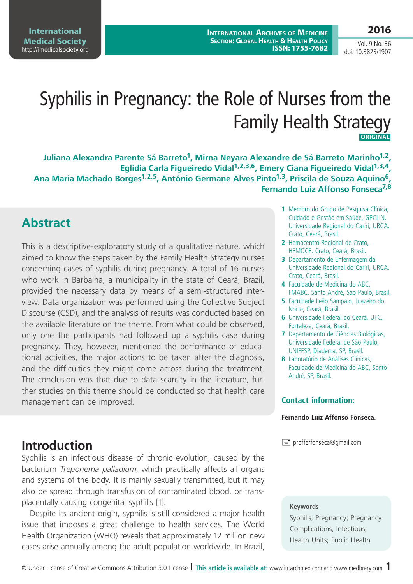**International Medical Society**  <http://imedicalsociety.org>

**International Archives of Medicine Section: Global Health & Health Policy ISSN: 1755-7682**

Vol. 9 No. 36 doi: 10.3823/1907

# Syphilis in Pregnancy: the Role of Nurses from the Family Health Strategy  **Original**

Juliana Alexandra Parente Sá Barreto<sup>1</sup>, Mirna Neyara Alexandre de Sá Barreto Marinho<sup>1,2</sup>, Eglídia Carla Figueiredo Vidal<sup>1,2,3,6</sup>, Emery Ciana Figueiredo Vidal<sup>1,3,4</sup>, Ana Maria Machado Borges<sup>1,2,5</sup>, Antônio Germane Alves Pinto<sup>1,3</sup>, Priscila de Souza Aguino<sup>6</sup>, **Fernando Luiz Affonso Fonseca7,8**

### **Abstract**

This is a descriptive-exploratory study of a qualitative nature, which aimed to know the steps taken by the Family Health Strategy nurses concerning cases of syphilis during pregnancy. A total of 16 nurses who work in Barbalha, a municipality in the state of Ceará, Brazil, provided the necessary data by means of a semi-structured interview. Data organization was performed using the Collective Subject Discourse (CSD), and the analysis of results was conducted based on the available literature on the theme. From what could be observed, only one the participants had followed up a syphilis case during pregnancy. They, however, mentioned the performance of educational activities, the major actions to be taken after the diagnosis, and the difficulties they might come across during the treatment. The conclusion was that due to data scarcity in the literature, further studies on this theme should be conducted so that health care management can be improved.

### **Introduction**

Syphilis is an infectious disease of chronic evolution, caused by the bacterium *Treponema palladium*, which practically affects all organs and systems of the body. It is mainly sexually transmitted, but it may also be spread through transfusion of contaminated blood, or transplacentally causing congenital syphilis [1].

Despite its ancient origin, syphilis is still considered a major health issue that imposes a great challenge to health services. The World Health Organization (WHO) reveals that approximately 12 million new cases arise annually among the adult population worldwide. In Brazil,

- **1** Membro do Grupo de Pesquisa Clínica, Cuidado e Gestão em Saúde, GPCLIN. Universidade Regional do Cariri, URCA. Crato, Ceará, Brasil.
- **2** Hemocentro Regional de Crato, HEMOCE. Crato, Ceará, Brasil.
- **3** Departamento de Enfermagem da Universidade Regional do Cariri, URCA. Crato, Ceará, Brasil.
- **4** Faculdade de Medicina do ABC, FMABC. Santo André, São Paulo, Brasil.
- **5** Faculdade Leão Sampaio. Juazeiro do Norte, Ceará, Brasil.
- **6** Universidade Federal do Ceará, UFC. Fortaleza, Ceará, Brasil.
- **7** Departamento de Ciências Biológicas, Universidade Federal de São Paulo, UNIFESP, Diadema, SP, Brasil.
- **8** Laboratório de Análises Clínicas, Faculdade de Medicina do ABC, Santo André, SP, Brasil.

### **Contact information:**

#### **Fernando Luiz Affonso Fonseca.**

 $\equiv$  profferfonseca@gmail.com

#### **Keywords**

Syphilis; Pregnancy; Pregnancy Complications, Infectious; Health Units; Public Health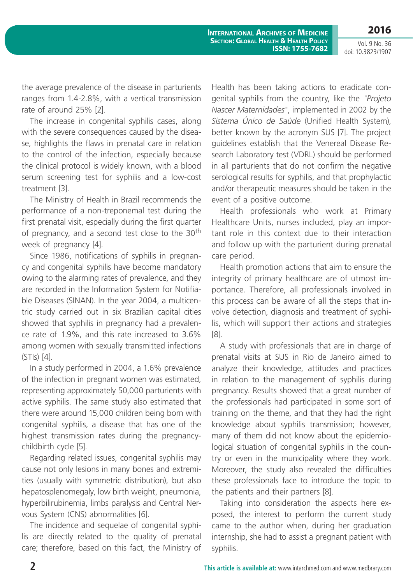Vol. 9 No. 36 doi: 10.3823/1907

**2016**

the average prevalence of the disease in parturients ranges from 1.4-2.8%, with a vertical transmission rate of around 25% [2].

The increase in congenital syphilis cases, along with the severe consequences caused by the disease, highlights the flaws in prenatal care in relation to the control of the infection, especially because the clinical protocol is widely known, with a blood serum screening test for syphilis and a low-cost treatment [3].

The Ministry of Health in Brazil recommends the performance of a non-treponemal test during the first prenatal visit, especially during the first quarter of pregnancy, and a second test close to the 30<sup>th</sup> week of pregnancy [4].

Since 1986, notifications of syphilis in pregnancy and congenital syphilis have become mandatory owing to the alarming rates of prevalence, and they are recorded in the Information System for Notifiable Diseases (SINAN). In the year 2004, a multicentric study carried out in six Brazilian capital cities showed that syphilis in pregnancy had a prevalence rate of 1.9%, and this rate increased to 3.6% among women with sexually transmitted infections (STIs) [4].

In a study performed in 2004, a 1.6% prevalence of the infection in pregnant women was estimated, representing approximately 50,000 parturients with active syphilis. The same study also estimated that there were around 15,000 children being born with congenital syphilis, a disease that has one of the highest transmission rates during the pregnancychildbirth cycle [5].

Regarding related issues, congenital syphilis may cause not only lesions in many bones and extremities (usually with symmetric distribution), but also hepatosplenomegaly, low birth weight, pneumonia, hyperbilirubinemia, limbs paralysis and Central Nervous System (CNS) abnormalities [6].

The incidence and sequelae of congenital syphilis are directly related to the quality of prenatal care; therefore, based on this fact, the Ministry of Health has been taking actions to eradicate congenital syphilis from the country, like the *"Projeto Nascer Maternidades"*, implemented in 2002 by the *Sistema Único de Saúde* (Unified Health System), better known by the acronym SUS [7]. The project guidelines establish that the Venereal Disease Research Laboratory test (VDRL) should be performed in all parturients that do not confirm the negative serological results for syphilis, and that prophylactic and/or therapeutic measures should be taken in the event of a positive outcome.

Health professionals who work at Primary Healthcare Units, nurses included, play an important role in this context due to their interaction and follow up with the parturient during prenatal care period.

Health promotion actions that aim to ensure the integrity of primary healthcare are of utmost importance. Therefore, all professionals involved in this process can be aware of all the steps that involve detection, diagnosis and treatment of syphilis, which will support their actions and strategies [8].

A study with professionals that are in charge of prenatal visits at SUS in Rio de Janeiro aimed to analyze their knowledge, attitudes and practices in relation to the management of syphilis during pregnancy. Results showed that a great number of the professionals had participated in some sort of training on the theme, and that they had the right knowledge about syphilis transmission; however, many of them did not know about the epidemiological situation of congenital syphilis in the country or even in the municipality where they work. Moreover, the study also revealed the difficulties these professionals face to introduce the topic to the patients and their partners [8].

Taking into consideration the aspects here exposed, the interest to perform the current study came to the author when, during her graduation internship, she had to assist a pregnant patient with syphilis.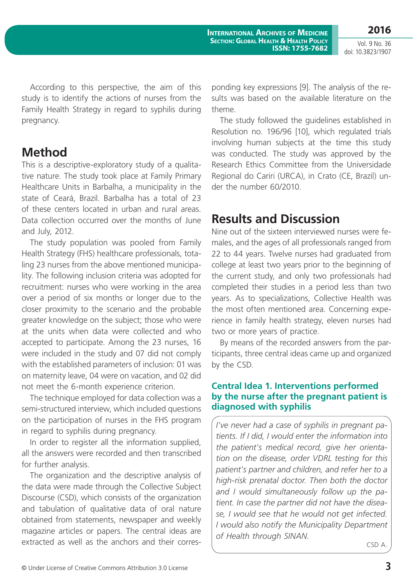Vol. 9 No. 36 doi: 10.3823/1907

According to this perspective, the aim of this study is to identify the actions of nurses from the Family Health Strategy in regard to syphilis during pregnancy.

### **Method**

This is a descriptive-exploratory study of a qualitative nature. The study took place at Family Primary Healthcare Units in Barbalha, a municipality in the state of Ceará, Brazil. Barbalha has a total of 23 of these centers located in urban and rural areas. Data collection occurred over the months of June and July, 2012.

The study population was pooled from Family Health Strategy (FHS) healthcare professionals, totaling 23 nurses from the above mentioned municipality. The following inclusion criteria was adopted for recruitment: nurses who were working in the area over a period of six months or longer due to the closer proximity to the scenario and the probable greater knowledge on the subject; those who were at the units when data were collected and who accepted to participate. Among the 23 nurses, 16 were included in the study and 07 did not comply with the established parameters of inclusion: 01 was on maternity leave, 04 were on vacation, and 02 did not meet the 6-month experience criterion.

The technique employed for data collection was a semi-structured interview, which included questions on the participation of nurses in the FHS program in regard to syphilis during pregnancy.

In order to register all the information supplied, all the answers were recorded and then transcribed for further analysis.

The organization and the descriptive analysis of the data were made through the Collective Subject Discourse (CSD), which consists of the organization and tabulation of qualitative data of oral nature obtained from statements, newspaper and weekly magazine articles or papers. The central ideas are extracted as well as the anchors and their corresponding key expressions [9]. The analysis of the results was based on the available literature on the theme.

The study followed the guidelines established in Resolution no. 196/96 [10], which regulated trials involving human subjects at the time this study was conducted. The study was approved by the Research Ethics Committee from the Universidade Regional do Cariri (URCA), in Crato (CE, Brazil) under the number 60/2010.

# **Results and Discussion**

Nine out of the sixteen interviewed nurses were females, and the ages of all professionals ranged from 22 to 44 years. Twelve nurses had graduated from college at least two years prior to the beginning of the current study, and only two professionals had completed their studies in a period less than two years. As to specializations, Collective Health was the most often mentioned area. Concerning experience in family health strategy, eleven nurses had two or more years of practice.

By means of the recorded answers from the participants, three central ideas came up and organized by the CSD.

#### **Central Idea 1. Interventions performed by the nurse after the pregnant patient is diagnosed with syphilis**

*I've never had a case of syphilis in pregnant patients. If I did, I would enter the information into the patient's medical record, give her orientation on the disease, order VDRL testing for this patient's partner and children, and refer her to a high-risk prenatal doctor. Then both the doctor and I would simultaneously follow up the patient. In case the partner did not have the disease, I would see that he would not get infected. I would also notify the Municipality Department of Health through SINAN.*

CSD A.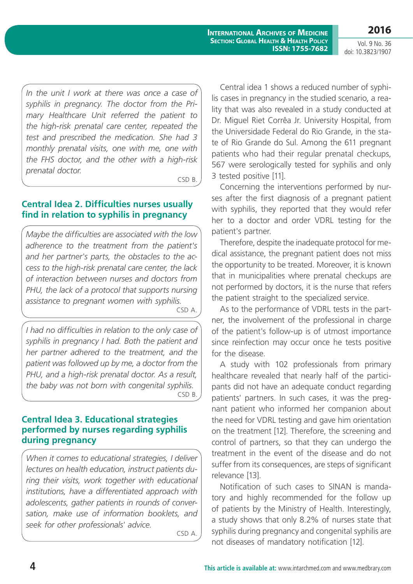**International Archives of Medicine Section: Global Health & Health Policy ISSN: 1755-7682**

Vol. 9 No. 36 doi: 10.3823/1907

**2016**

*In the unit I work at there was once a case of syphilis in pregnancy. The doctor from the Primary Healthcare Unit referred the patient to the high-risk prenatal care center, repeated the test and prescribed the medication. She had 3 monthly prenatal visits, one with me, one with the FHS doctor, and the other with a high-risk prenatal doctor.*

CSD B.

#### **Central Idea 2. Difficulties nurses usually find in relation to syphilis in pregnancy**

*Maybe the difficulties are associated with the low adherence to the treatment from the patient's and her partner's parts, the obstacles to the access to the high-risk prenatal care center, the lack of interaction between nurses and doctors from PHU, the lack of a protocol that supports nursing assistance to pregnant women with syphilis.*

CSD A.

*I had no difficulties in relation to the only case of syphilis in pregnancy I had. Both the patient and her partner adhered to the treatment, and the patient was followed up by me, a doctor from the PHU, and a high-risk prenatal doctor. As a result, the baby was not born with congenital syphilis.* CSD B.

#### **Central Idea 3. Educational strategies performed by nurses regarding syphilis during pregnancy**

*When it comes to educational strategies, I deliver lectures on health education, instruct patients during their visits, work together with educational institutions, have a differentiated approach with adolescents, gather patients in rounds of conversation, make use of information booklets, and seek for other professionals' advice.*

CSD A.

Central idea 1 shows a reduced number of syphilis cases in pregnancy in the studied scenario, a reality that was also revealed in a study conducted at Dr. Miguel Riet Corrêa Jr. University Hospital, from the Universidade Federal do Rio Grande, in the state of Rio Grande do Sul. Among the 611 pregnant patients who had their regular prenatal checkups, 567 were serologically tested for syphilis and only 3 tested positive [11].

Concerning the interventions performed by nurses after the first diagnosis of a pregnant patient with syphilis, they reported that they would refer her to a doctor and order VDRL testing for the patient's partner.

Therefore, despite the inadequate protocol for medical assistance, the pregnant patient does not miss the opportunity to be treated. Moreover, it is known that in municipalities where prenatal checkups are not performed by doctors, it is the nurse that refers the patient straight to the specialized service.

As to the performance of VDRL tests in the partner, the involvement of the professional in charge of the patient's follow-up is of utmost importance since reinfection may occur once he tests positive for the disease.

A study with 102 professionals from primary healthcare revealed that nearly half of the participants did not have an adequate conduct regarding patients' partners. In such cases, it was the pregnant patient who informed her companion about the need for VDRL testing and gave him orientation on the treatment [12]. Therefore, the screening and control of partners, so that they can undergo the treatment in the event of the disease and do not suffer from its consequences, are steps of significant relevance [13].

Notification of such cases to SINAN is mandatory and highly recommended for the follow up of patients by the Ministry of Health. Interestingly, a study shows that only 8.2% of nurses state that syphilis during pregnancy and congenital syphilis are not diseases of mandatory notification [12].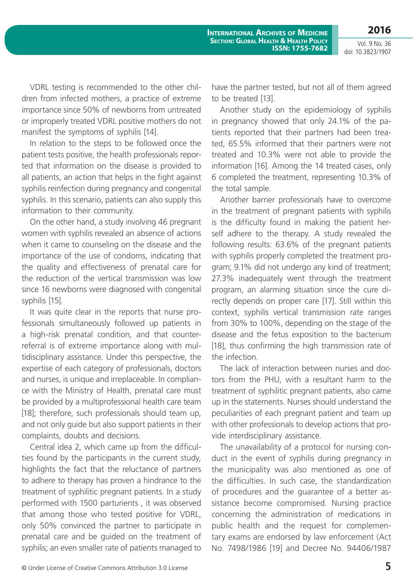**2016** Vol. 9 No. 36

doi: 10.3823/1907

VDRL testing is recommended to the other children from infected mothers, a practice of extreme importance since 50% of newborns from untreated or improperly treated VDRL positive mothers do not manifest the symptoms of syphilis [14].

In relation to the steps to be followed once the patient tests positive, the health professionals reported that information on the disease is provided to all patients, an action that helps in the fight against syphilis reinfection during pregnancy and congenital syphilis. In this scenario, patients can also supply this information to their community.

On the other hand, a study involving 46 pregnant women with syphilis revealed an absence of actions when it came to counseling on the disease and the importance of the use of condoms, indicating that the quality and effectiveness of prenatal care for the reduction of the vertical transmission was low since 16 newborns were diagnosed with congenital syphilis [15].

It was quite clear in the reports that nurse professionals simultaneously followed up patients in a high-risk prenatal condition, and that counterreferral is of extreme importance along with multidisciplinary assistance. Under this perspective, the expertise of each category of professionals, doctors and nurses, is unique and irreplaceable. In compliance with the Ministry of Health, prenatal care must be provided by a multiprofessional health care team [18]; therefore, such professionals should team up, and not only guide but also support patients in their complaints, doubts and decisions.

Central idea 2, which came up from the difficulties found by the participants in the current study, highlights the fact that the reluctance of partners to adhere to therapy has proven a hindrance to the treatment of syphilitic pregnant patients. In a study performed with 1500 parturients , it was observed that among those who tested positive for VDRL, only 50% convinced the partner to participate in prenatal care and be guided on the treatment of syphilis; an even smaller rate of patients managed to have the partner tested, but not all of them agreed to be treated [13].

Another study on the epidemiology of syphilis in pregnancy showed that only 24.1% of the patients reported that their partners had been treated, 65.5% informed that their partners were not treated and 10.3% were not able to provide the information [16]. Among the 14 treated cases, only 6 completed the treatment, representing 10.3% of the total sample.

Another barrier professionals have to overcome in the treatment of pregnant patients with syphilis is the difficulty found in making the patient herself adhere to the therapy. A study revealed the following results: 63.6% of the pregnant patients with syphilis properly completed the treatment program; 9.1% did not undergo any kind of treatment; 27.3% inadequately went through the treatment program, an alarming situation since the cure directly depends on proper care [17]. Still within this context, syphilis vertical transmission rate ranges from 30% to 100%, depending on the stage of the disease and the fetus exposition to the bacterium [18], thus confirming the high transmission rate of the infection.

The lack of interaction between nurses and doctors from the PHU, with a resultant harm to the treatment of syphilitic pregnant patients, also came up in the statements. Nurses should understand the peculiarities of each pregnant patient and team up with other professionals to develop actions that provide interdisciplinary assistance.

The unavailability of a protocol for nursing conduct in the event of syphilis during pregnancy in the municipality was also mentioned as one of the difficulties. In such case, the standardization of procedures and the guarantee of a better assistance become compromised. Nursing practice concerning the administration of medications in public health and the request for complementary exams are endorsed by law enforcement (Act No. 7498/1986 [19] and Decree No. 94406/1987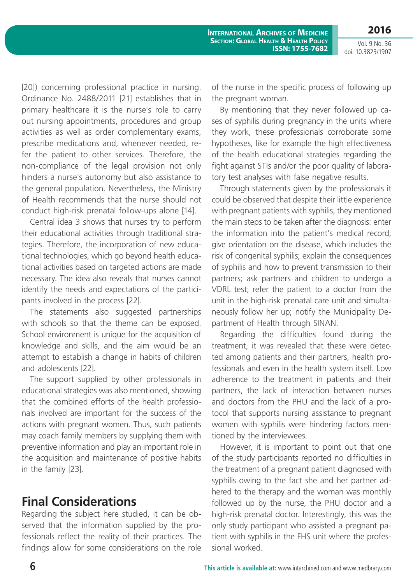**2016**

Vol. 9 No. 36 doi: 10.3823/1907

[20]) concerning professional practice in nursing. Ordinance No. 2488/2011 [21] establishes that in primary healthcare it is the nurse's role to carry out nursing appointments, procedures and group activities as well as order complementary exams, prescribe medications and, whenever needed, refer the patient to other services. Therefore, the non-compliance of the legal provision not only hinders a nurse's autonomy but also assistance to the general population. Nevertheless, the Ministry of Health recommends that the nurse should not conduct high-risk prenatal follow-ups alone [14].

Central idea 3 shows that nurses try to perform their educational activities through traditional strategies. Therefore, the incorporation of new educational technologies, which go beyond health educational activities based on targeted actions are made necessary. The idea also reveals that nurses cannot identify the needs and expectations of the participants involved in the process [22].

The statements also suggested partnerships with schools so that the theme can be exposed. School environment is unique for the acquisition of knowledge and skills, and the aim would be an attempt to establish a change in habits of children and adolescents [22].

The support supplied by other professionals in educational strategies was also mentioned, showing that the combined efforts of the health professionals involved are important for the success of the actions with pregnant women. Thus, such patients may coach family members by supplying them with preventive information and play an important role in the acquisition and maintenance of positive habits in the family [23].

# **Final Considerations**

Regarding the subject here studied, it can be observed that the information supplied by the professionals reflect the reality of their practices. The findings allow for some considerations on the role of the nurse in the specific process of following up the pregnant woman.

By mentioning that they never followed up cases of syphilis during pregnancy in the units where they work, these professionals corroborate some hypotheses, like for example the high effectiveness of the health educational strategies regarding the fight against STIs and/or the poor quality of laboratory test analyses with false negative results.

Through statements given by the professionals it could be observed that despite their little experience with pregnant patients with syphilis, they mentioned the main steps to be taken after the diagnosis: enter the information into the patient's medical record; give orientation on the disease, which includes the risk of congenital syphilis; explain the consequences of syphilis and how to prevent transmission to their partners; ask partners and children to undergo a VDRL test; refer the patient to a doctor from the unit in the high-risk prenatal care unit and simultaneously follow her up; notify the Municipality Department of Health through SINAN.

Regarding the difficulties found during the treatment, it was revealed that these were detected among patients and their partners, health professionals and even in the health system itself. Low adherence to the treatment in patients and their partners, the lack of interaction between nurses and doctors from the PHU and the lack of a protocol that supports nursing assistance to pregnant women with syphilis were hindering factors mentioned by the interviewees.

However, it is important to point out that one of the study participants reported no difficulties in the treatment of a pregnant patient diagnosed with syphilis owing to the fact she and her partner adhered to the therapy and the woman was monthly followed up by the nurse, the PHU doctor and a high-risk prenatal doctor. Interestingly, this was the only study participant who assisted a pregnant patient with syphilis in the FHS unit where the professional worked.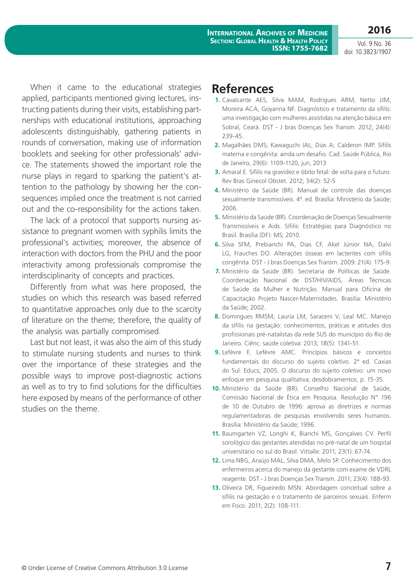**International Archives of Medicine Section: Global Health & Health Policy ISSN: 1755-7682**

Vol. 9 No. 36 doi: 10.3823/1907

**2016**

When it came to the educational strategies applied, participants mentioned giving lectures, instructing patients during their visits, establishing partnerships with educational institutions, approaching adolescents distinguishably, gathering patients in rounds of conversation, making use of information booklets and seeking for other professionals' advice. The statements showed the important role the nurse plays in regard to sparking the patient's attention to the pathology by showing her the consequences implied once the treatment is not carried out and the co-responsibility for the actions taken.

The lack of a protocol that supports nursing assistance to pregnant women with syphilis limits the professional's activities; moreover, the absence of interaction with doctors from the PHU and the poor interactivity among professionals compromise the interdisciplinarity of concepts and practices.

Differently from what was here proposed, the studies on which this research was based referred to quantitative approaches only due to the scarcity of literature on the theme; therefore, the quality of the analysis was partially compromised.

Last but not least, it was also the aim of this study to stimulate nursing students and nurses to think over the importance of these strategies and the possible ways to improve post-diagnostic actions as well as to try to find solutions for the difficulties here exposed by means of the performance of other studies on the theme.

# **References**

- **1.** Cavalcante AES, Silva MAM, Rodrigues ARM, Netto JJM, Moreira ACA, Goyanna NF. Diagnóstico e tratamento da sífilis: uma investigação com mulheres assistidas na atenção básica em Sobral, Ceará. DST - J bras Doenças Sex Transm. 2012; 24(4): 239-45.
- **2.** Magalhães DMS; Kawaguchi IAL; Dias A; Calderon IMP. Sífilis materna e congênita: ainda um desafio. Cad. Saúde Pública, Rio de Janeiro, 29(6): 1109-1120, jun, 2013
- **3.** Amaral E. Sífilis na gravidez e óbito fetal: de volta para o futuro. Rev Bras Ginecol Obstet. 2012; 34(2): 52-5
- **4.** Ministério da Saúde (BR). Manual de controle das doenças sexualmente transmissíveis. 4ª. ed. Brasília: Ministério da Saúde; 2006.
- **5.** Ministério da Saúde (BR). Coordenação de Doenças Sexualmente Transmissíveis e Aids. Sífilis: Estratégias para Diagnóstico no Brasil. Brasília (DF): MS; 2010.
- **6.** Silva SFM, Prebianchi PA, Dias CF, Akel Júnior NA, Dalvi LG, Frauches DO. Alterações ósseas em lactentes com sífilis congênita. DST - J bras Doenças Sex Transm. 2009: 21(4): 175-9.
- **7.** Ministério da Saúde (BR). Secretaria de Políticas de Saúde. Coordenação Nacional de DST/HIV/AIDS, Áreas Técnicas de Saúde da Mulher e Nutrição. Manual para Oficina de Capacitação Projeto Nascer-Maternidades. Brasília: Ministério da Saúde; 2002.
- **8.** Domingues RMSM, Lauria LM, Saraceni V, Leal MC. Manejo da sífilis na gestação: conhecimentos, práticas e atitudes dos profissionais pré-natalistas da rede SUS do município do Rio de Janeiro. Ciênc. saúde coletiva: 2013; 18(5): 1341-51.
- **9.** Lefèvre F, Lefèvre AMC. Princípios básicos e conceitos fundamentais do discurso do sujeito coletivo. 2ª ed. Caxias do Sul: Educs; 2005. O discurso do sujeito coletivo: um novo enfoque em pesquisa qualitativa; desdobramentos. p. 15-35.
- **10.** Ministério da Saúde (BR). Conselho Nacional de Saúde, Comissão Nacional de Ética em Pesquisa. Resolução N° 196 de 10 de Outubro de 1996: aprova as diretrizes e normas regulamentadoras de pesquisas envolvendo seres humanos. Brasília: Ministério da Saúde; 1996.
- **11.** Baumgarten VZ, Longhi K, Bianchi MS, Gonçalves CV. Perfil sorológico das gestantes atendidas no pré-natal de um hospital universitário no sul do Brasil. Vittalle: 2011; 23(1): 67-74.
- **12.** Lima NBG, Araújo MAL, Silva DMA, Melo SP. Conhecimento dos enfermeiros acerca do manejo da gestante com exame de VDRL reagente. DST - J bras Doenças Sex Transm. 2011; 23(4): 188-93.
- **13.** Oliveira DR, Figueiredo MSN. Abordagem conceitual sobre a sífilis na gestação e o tratamento de parceiros sexuais. Enferm em Foco. 2011; 2(2): 108-111.